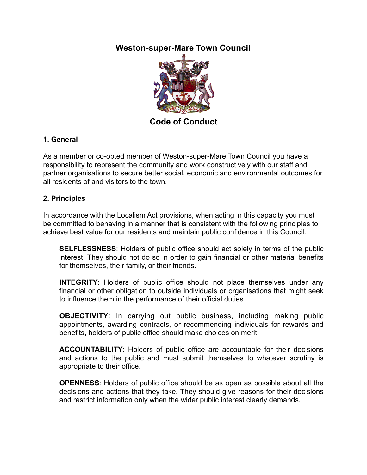# **Weston-super-Mare Town Council**



**Code of Conduct** 

## **1. General**

As a member or co-opted member of Weston-super-Mare Town Council you have a responsibility to represent the community and work constructively with our staff and partner organisations to secure better social, economic and environmental outcomes for all residents of and visitors to the town.

#### **2. Principles**

In accordance with the Localism Act provisions, when acting in this capacity you must be committed to behaving in a manner that is consistent with the following principles to achieve best value for our residents and maintain public confidence in this Council.

**SELFLESSNESS**: Holders of public office should act solely in terms of the public interest. They should not do so in order to gain financial or other material benefits for themselves, their family, or their friends.

**INTEGRITY**: Holders of public office should not place themselves under any financial or other obligation to outside individuals or organisations that might seek to influence them in the performance of their official duties.

**OBJECTIVITY**: In carrying out public business, including making public appointments, awarding contracts, or recommending individuals for rewards and benefits, holders of public office should make choices on merit.

**ACCOUNTABILITY**: Holders of public office are accountable for their decisions and actions to the public and must submit themselves to whatever scrutiny is appropriate to their office.

**OPENNESS**: Holders of public office should be as open as possible about all the decisions and actions that they take. They should give reasons for their decisions and restrict information only when the wider public interest clearly demands.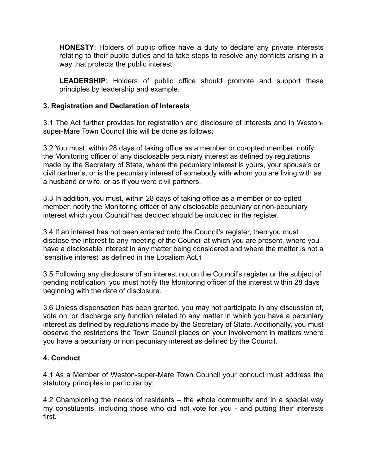**HONESTY**: Holders of public office have a duty to declare any private interests relating to their public duties and to take steps to resolve any conflicts arising in a way that protects the public interest.

**LEADERSHIP**: Holders of public office should promote and support these principles by leadership and example.

### **3. Registration and Declaration of Interests**

3.1 The Act further provides for registration and disclosure of interests and in Westonsuper-Mare Town Council this will be done as follows:

3.2 You must, within 28 days of taking office as a member or co-opted member, notify the Monitoring officer of any disclosable pecuniary interest as defined by regulations made by the Secretary of State, where the pecuniary interest is yours, your spouse's or civil partner's, or is the pecuniary interest of somebody with whom you are living with as a husband or wife, or as if you were civil partners.

3.3 In addition, you must, within 28 days of taking office as a member or co-opted member, notify the Monitoring officer of any disclosable pecuniary or non-pecuniary interest which your Council has decided should be included in the register.

3.4 If an interest has not been entered onto the Council's register, then you must disclose the interest to any meeting of the Council at which you are present, where you have a disclosable interest in any matter being considered and where the matter is not a 'sensitive interest' as defined in the Localism Act.1

3.5 Following any disclosure of an interest not on the Council's register or the subject of pending notification, you must notify the Monitoring officer of the interest within 28 days beginning with the date of disclosure.

3.6 Unless dispensation has been granted, you may not participate in any discussion of, vote on, or discharge any function related to any matter in which you have a pecuniary interest as defined by regulations made by the Secretary of State. Additionally, you must observe the restrictions the Town Council places on your involvement in matters where you have a pecuniary or non pecuniary interest as defined by the Council.

#### **4. Conduct**

4.1 As a Member of Weston-super-Mare Town Council your conduct must address the statutory principles in particular by:

4.2 Championing the needs of residents – the whole community and in a special way my constituents, including those who did not vote for you - and putting their interests first.